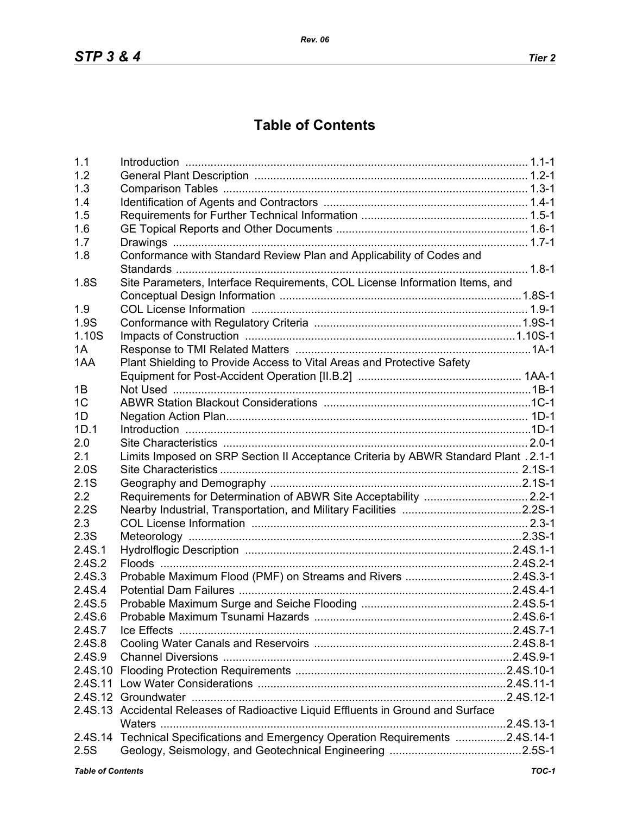## **Table of Contents**

| 1.1                      |                                                                                     |       |
|--------------------------|-------------------------------------------------------------------------------------|-------|
| 1.2                      |                                                                                     |       |
| 1.3                      |                                                                                     |       |
| 1.4                      |                                                                                     |       |
| 1.5                      |                                                                                     |       |
| 1.6                      |                                                                                     |       |
| 1.7                      |                                                                                     |       |
| 1.8                      | Conformance with Standard Review Plan and Applicability of Codes and                |       |
|                          |                                                                                     |       |
| 1.8S                     | Site Parameters, Interface Requirements, COL License Information Items, and         |       |
|                          |                                                                                     |       |
| 1.9                      |                                                                                     |       |
| 1.9S                     |                                                                                     |       |
| 1.10S                    |                                                                                     |       |
| 1A                       |                                                                                     |       |
| 1AA                      | Plant Shielding to Provide Access to Vital Areas and Protective Safety              |       |
|                          |                                                                                     |       |
| 1B                       |                                                                                     |       |
| 1 <sup>C</sup>           |                                                                                     |       |
| 1D                       |                                                                                     |       |
| 1D.1                     |                                                                                     |       |
| 2.0                      |                                                                                     |       |
| 2.1                      | Limits Imposed on SRP Section II Acceptance Criteria by ABWR Standard Plant . 2.1-1 |       |
| 2.0S                     |                                                                                     |       |
| 2.1S                     |                                                                                     |       |
| 2.2                      |                                                                                     |       |
| 2.2S                     |                                                                                     |       |
| 2.3                      |                                                                                     |       |
| 2.3S                     |                                                                                     |       |
|                          |                                                                                     |       |
| 2.4S.1<br>2.4S.2         |                                                                                     |       |
|                          |                                                                                     |       |
| 2.4S.3                   | Probable Maximum Flood (PMF) on Streams and Rivers 2.4S.3-1                         |       |
| 2.4S.4                   |                                                                                     |       |
| 2.4S.5                   |                                                                                     |       |
| 2.4S.6                   |                                                                                     |       |
| 2.4S.7                   | Ice Effects                                                                         |       |
| 2.4S.8                   |                                                                                     |       |
| 2.4S.9                   |                                                                                     |       |
|                          |                                                                                     |       |
|                          |                                                                                     |       |
|                          |                                                                                     |       |
|                          | 2.4S.13 Accidental Releases of Radioactive Liquid Effluents in Ground and Surface   |       |
|                          |                                                                                     |       |
|                          | 2.4S.14 Technical Specifications and Emergency Operation Requirements 2.4S.14-1     |       |
| 2.5S                     |                                                                                     |       |
| <b>Table of Contents</b> |                                                                                     | TOC-1 |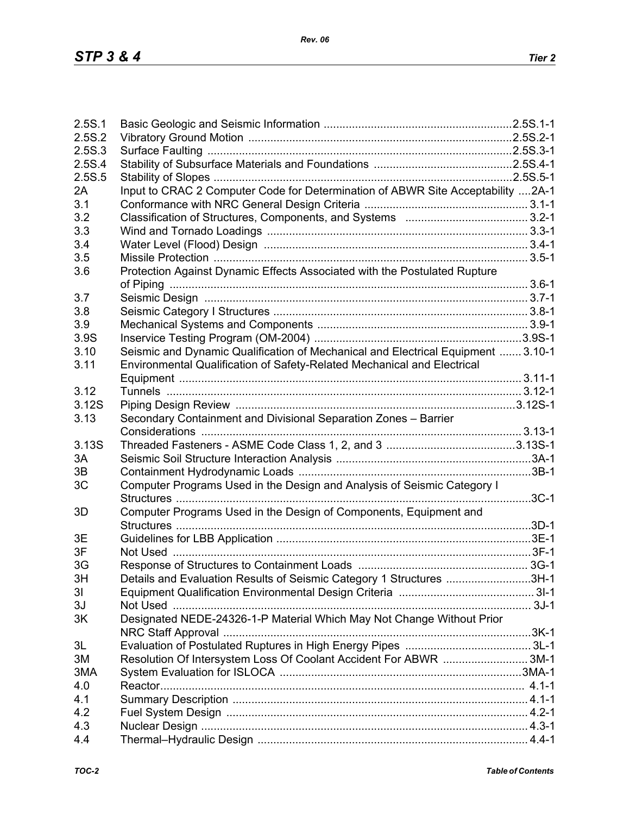| 2.5S.1 |                                                                                  |  |
|--------|----------------------------------------------------------------------------------|--|
| 2.5S.2 |                                                                                  |  |
| 2.5S.3 |                                                                                  |  |
| 2.5S.4 |                                                                                  |  |
| 2.5S.5 |                                                                                  |  |
| 2A     | Input to CRAC 2 Computer Code for Determination of ABWR Site Acceptability 2A-1  |  |
| 3.1    |                                                                                  |  |
| 3.2    |                                                                                  |  |
| 3.3    |                                                                                  |  |
| 3.4    |                                                                                  |  |
| 3.5    |                                                                                  |  |
| 3.6    | Protection Against Dynamic Effects Associated with the Postulated Rupture        |  |
|        |                                                                                  |  |
| 3.7    |                                                                                  |  |
|        |                                                                                  |  |
| 3.8    |                                                                                  |  |
| 3.9    |                                                                                  |  |
| 3.9S   |                                                                                  |  |
| 3.10   | Seismic and Dynamic Qualification of Mechanical and Electrical Equipment  3.10-1 |  |
| 3.11   | Environmental Qualification of Safety-Related Mechanical and Electrical          |  |
|        |                                                                                  |  |
| 3.12   |                                                                                  |  |
| 3.12S  |                                                                                  |  |
| 3.13   | Secondary Containment and Divisional Separation Zones - Barrier                  |  |
|        |                                                                                  |  |
| 3.13S  |                                                                                  |  |
| 3A     |                                                                                  |  |
| 3B     |                                                                                  |  |
| 3C     | Computer Programs Used in the Design and Analysis of Seismic Category I          |  |
|        |                                                                                  |  |
| 3D     | Computer Programs Used in the Design of Components, Equipment and                |  |
|        |                                                                                  |  |
| 3E     |                                                                                  |  |
| 3F     |                                                                                  |  |
| 3G     |                                                                                  |  |
| 3H     | Details and Evaluation Results of Seismic Category 1 Structures 3H-1             |  |
| 31     |                                                                                  |  |
| 3J     |                                                                                  |  |
| 3K     | Designated NEDE-24326-1-P Material Which May Not Change Without Prior            |  |
|        |                                                                                  |  |
| 3L     |                                                                                  |  |
| 3M     | Resolution Of Intersystem Loss Of Coolant Accident For ABWR 3M-1                 |  |
| 3MA    |                                                                                  |  |
| 4.0    |                                                                                  |  |
| 4.1    |                                                                                  |  |
| 4.2    |                                                                                  |  |
| 4.3    |                                                                                  |  |
| 4.4    |                                                                                  |  |
|        |                                                                                  |  |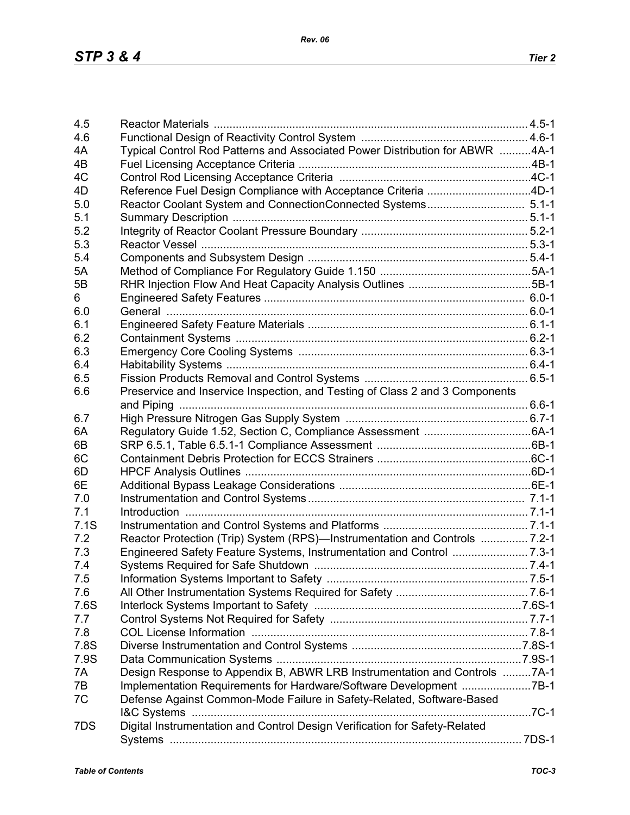| 4.5  |                                                                              |  |
|------|------------------------------------------------------------------------------|--|
| 4.6  |                                                                              |  |
| 4A   | Typical Control Rod Patterns and Associated Power Distribution for ABWR 4A-1 |  |
| 4B   |                                                                              |  |
| 4C   |                                                                              |  |
| 4D   | Reference Fuel Design Compliance with Acceptance Criteria 4D-1               |  |
| 5.0  |                                                                              |  |
| 5.1  |                                                                              |  |
| 5.2  |                                                                              |  |
| 5.3  |                                                                              |  |
| 5.4  |                                                                              |  |
| 5A   |                                                                              |  |
| 5B   |                                                                              |  |
| 6    |                                                                              |  |
| 6.0  |                                                                              |  |
| 6.1  |                                                                              |  |
| 6.2  |                                                                              |  |
| 6.3  |                                                                              |  |
| 6.4  |                                                                              |  |
| 6.5  |                                                                              |  |
| 6.6  | Preservice and Inservice Inspection, and Testing of Class 2 and 3 Components |  |
|      |                                                                              |  |
|      |                                                                              |  |
| 6.7  |                                                                              |  |
| 6A   |                                                                              |  |
| 6B   |                                                                              |  |
| 6C   |                                                                              |  |
| 6D   |                                                                              |  |
| 6E   |                                                                              |  |
| 7.0  |                                                                              |  |
| 7.1  |                                                                              |  |
| 7.1S |                                                                              |  |
| 7.2  | Reactor Protection (Trip) System (RPS)—Instrumentation and Controls  7.2-1   |  |
| 7.3  |                                                                              |  |
| 7.4  |                                                                              |  |
| 7.5  |                                                                              |  |
| 7.6  |                                                                              |  |
| 7.6S |                                                                              |  |
| 7.7  |                                                                              |  |
| 7.8  |                                                                              |  |
| 7.8S |                                                                              |  |
| 7.9S |                                                                              |  |
| 7A   | Design Response to Appendix B, ABWR LRB Instrumentation and Controls 7A-1    |  |
| 7B   | Implementation Requirements for Hardware/Software Development 7B-1           |  |
| 7C   | Defense Against Common-Mode Failure in Safety-Related, Software-Based        |  |
|      |                                                                              |  |
| 7DS  | Digital Instrumentation and Control Design Verification for Safety-Related   |  |
|      |                                                                              |  |
|      |                                                                              |  |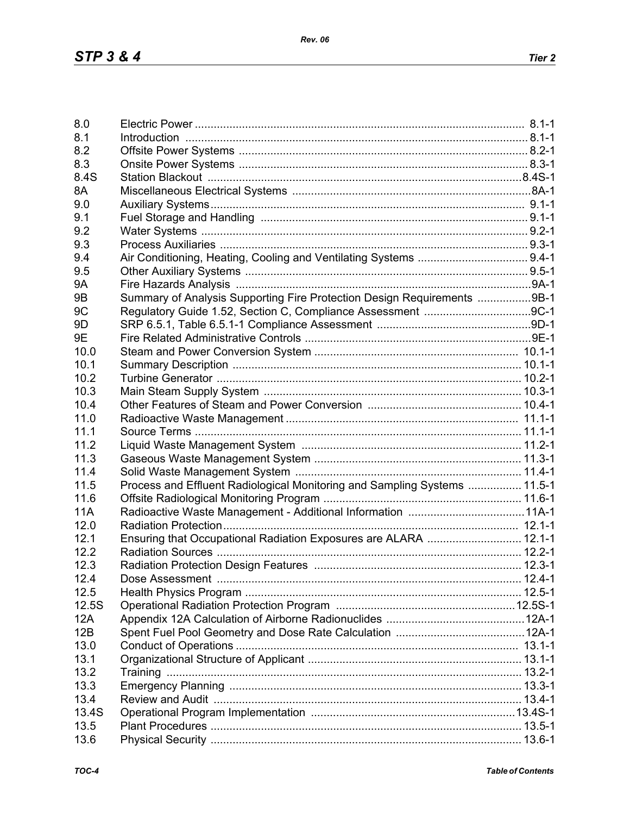| 8.0            |                                                                                                                |  |
|----------------|----------------------------------------------------------------------------------------------------------------|--|
| 8.1            | 1-1-1. B.1-1. B.1-1. B.1-1. B.1-1. B.1-1. B.1-1. B.1-1. B.1-1. B.1-1. B.1-1. B.1-1. B.1-1. B.1-1. B.1-1. B.1-1 |  |
| 8.2            |                                                                                                                |  |
| 8.3            |                                                                                                                |  |
| 8.4S           |                                                                                                                |  |
| 8A             |                                                                                                                |  |
| 9.0            |                                                                                                                |  |
| 9.1            |                                                                                                                |  |
| 9.2            |                                                                                                                |  |
|                |                                                                                                                |  |
| 9.3            |                                                                                                                |  |
| 9.4            |                                                                                                                |  |
| 9.5            |                                                                                                                |  |
| <b>9A</b>      |                                                                                                                |  |
| 9 <sub>B</sub> | Summary of Analysis Supporting Fire Protection Design Requirements 9B-1                                        |  |
| 9 <sub>C</sub> |                                                                                                                |  |
| 9 <sub>D</sub> |                                                                                                                |  |
| 9E             |                                                                                                                |  |
| 10.0           |                                                                                                                |  |
| 10.1           |                                                                                                                |  |
| 10.2           |                                                                                                                |  |
|                |                                                                                                                |  |
| 10.3           |                                                                                                                |  |
| 10.4           |                                                                                                                |  |
| 11.0           |                                                                                                                |  |
| 11.1           |                                                                                                                |  |
| 11.2           |                                                                                                                |  |
| 11.3           |                                                                                                                |  |
| 11.4           |                                                                                                                |  |
| 11.5           | Process and Effluent Radiological Monitoring and Sampling Systems  11.5-1                                      |  |
| 11.6           |                                                                                                                |  |
| <b>11A</b>     |                                                                                                                |  |
| 12.0           |                                                                                                                |  |
| 12.1           |                                                                                                                |  |
|                | Ensuring that Occupational Radiation Exposures are ALARA  12.1-1                                               |  |
| 12.2           |                                                                                                                |  |
| 12.3           |                                                                                                                |  |
| 12.4           |                                                                                                                |  |
| 12.5           |                                                                                                                |  |
| 12.5S          |                                                                                                                |  |
| 12A            |                                                                                                                |  |
| 12B            |                                                                                                                |  |
| 13.0           |                                                                                                                |  |
| 13.1           |                                                                                                                |  |
| 13.2           |                                                                                                                |  |
| 13.3           |                                                                                                                |  |
|                |                                                                                                                |  |
| 13.4           |                                                                                                                |  |
| 13.4S          |                                                                                                                |  |
| 13.5           |                                                                                                                |  |
| 13.6           |                                                                                                                |  |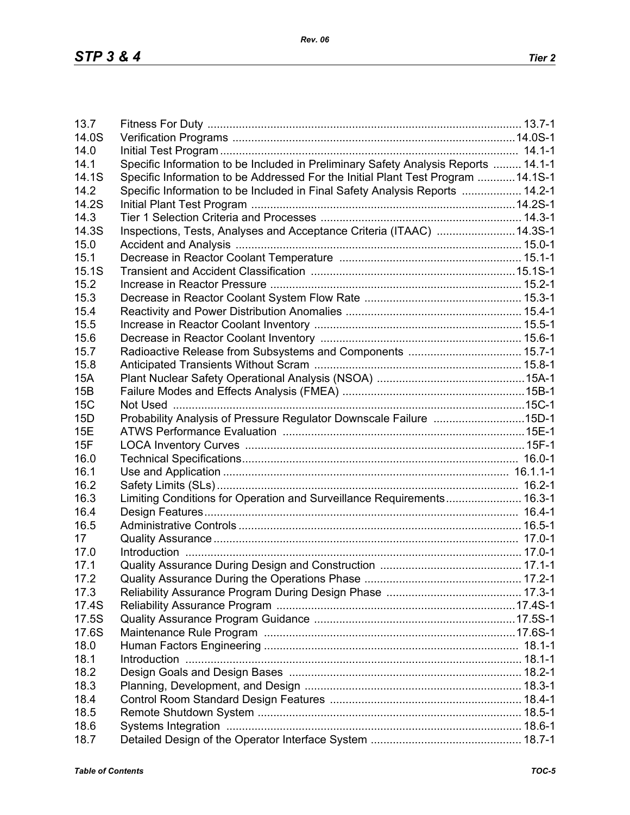| 13.7         |                                                                                    |  |
|--------------|------------------------------------------------------------------------------------|--|
| 14.0S        |                                                                                    |  |
| 14.0         |                                                                                    |  |
| 14.1         | Specific Information to be Included in Preliminary Safety Analysis Reports  14.1-1 |  |
| 14.1S        | Specific Information to be Addressed For the Initial Plant Test Program  14.1S-1   |  |
| 14.2         | Specific Information to be Included in Final Safety Analysis Reports  14.2-1       |  |
| 14.2S        |                                                                                    |  |
| 14.3         |                                                                                    |  |
| 14.3S        | Inspections, Tests, Analyses and Acceptance Criteria (ITAAC) 14.3S-1               |  |
| 15.0         |                                                                                    |  |
| 15.1         |                                                                                    |  |
| 15.1S        |                                                                                    |  |
| 15.2         |                                                                                    |  |
| 15.3         |                                                                                    |  |
| 15.4         |                                                                                    |  |
| 15.5         |                                                                                    |  |
| 15.6         |                                                                                    |  |
| 15.7         |                                                                                    |  |
| 15.8         |                                                                                    |  |
| <b>15A</b>   |                                                                                    |  |
| 15B          |                                                                                    |  |
| 15C          |                                                                                    |  |
| 15D          | Probability Analysis of Pressure Regulator Downscale Failure 15D-1                 |  |
| <b>15E</b>   |                                                                                    |  |
| 15F          |                                                                                    |  |
| 16.0         |                                                                                    |  |
| 16.1         |                                                                                    |  |
| 16.2         |                                                                                    |  |
| 16.3         | Limiting Conditions for Operation and Surveillance Requirements 16.3-1             |  |
| 16.4         |                                                                                    |  |
| 16.5         |                                                                                    |  |
| 17           |                                                                                    |  |
| 17.0         |                                                                                    |  |
| 17.1         |                                                                                    |  |
| 17.2         |                                                                                    |  |
| 17.3         |                                                                                    |  |
| 17.4S        |                                                                                    |  |
| 17.5S        |                                                                                    |  |
| 17.6S        |                                                                                    |  |
|              |                                                                                    |  |
| 18.0<br>18.1 |                                                                                    |  |
|              |                                                                                    |  |
| 18.2         |                                                                                    |  |
| 18.3         |                                                                                    |  |
| 18.4         |                                                                                    |  |
| 18.5         |                                                                                    |  |
| 18.6         |                                                                                    |  |
| 18.7         |                                                                                    |  |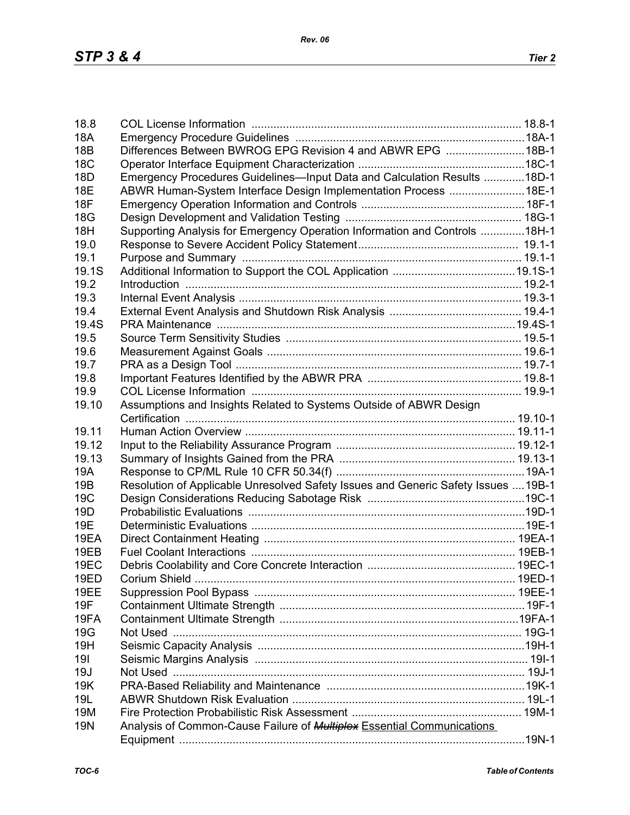| 18.8            |                                                                                    |  |
|-----------------|------------------------------------------------------------------------------------|--|
| <b>18A</b>      |                                                                                    |  |
| 18B             | Differences Between BWROG EPG Revision 4 and ABWR EPG 18B-1                        |  |
| <b>18C</b>      |                                                                                    |  |
| 18 <sub>D</sub> | Emergency Procedures Guidelines-Input Data and Calculation Results 18D-1           |  |
| <b>18E</b>      | ABWR Human-System Interface Design Implementation Process 18E-1                    |  |
| 18F             |                                                                                    |  |
| <b>18G</b>      |                                                                                    |  |
| 18H             | Supporting Analysis for Emergency Operation Information and Controls 18H-1         |  |
| 19.0            |                                                                                    |  |
| 19.1            |                                                                                    |  |
| 19.1S           |                                                                                    |  |
| 19.2            |                                                                                    |  |
| 19.3            |                                                                                    |  |
| 19.4            |                                                                                    |  |
| 19.4S           |                                                                                    |  |
| 19.5            |                                                                                    |  |
| 19.6            |                                                                                    |  |
| 19.7            |                                                                                    |  |
| 19.8            |                                                                                    |  |
| 19.9            |                                                                                    |  |
| 19.10           | Assumptions and Insights Related to Systems Outside of ABWR Design                 |  |
|                 |                                                                                    |  |
| 19.11           |                                                                                    |  |
| 19.12           |                                                                                    |  |
| 19.13           |                                                                                    |  |
| 19A             |                                                                                    |  |
| 19B             | Resolution of Applicable Unresolved Safety Issues and Generic Safety Issues  19B-1 |  |
| 19C             |                                                                                    |  |
| 19 <sub>D</sub> |                                                                                    |  |
| 19E             |                                                                                    |  |
| 19EA            |                                                                                    |  |
| 19EB            |                                                                                    |  |
| <b>19EC</b>     |                                                                                    |  |
| 19ED            |                                                                                    |  |
| 19EE            |                                                                                    |  |
| 19F             |                                                                                    |  |
| 19FA            |                                                                                    |  |
| <b>19G</b>      |                                                                                    |  |
| 19H             |                                                                                    |  |
| 191             |                                                                                    |  |
| 19J             |                                                                                    |  |
| 19K             |                                                                                    |  |
| 19L             |                                                                                    |  |
| 19M             |                                                                                    |  |
| <b>19N</b>      |                                                                                    |  |
|                 | Analysis of Common-Cause Failure of <b>Multiplex Essential Communications</b>      |  |
|                 |                                                                                    |  |